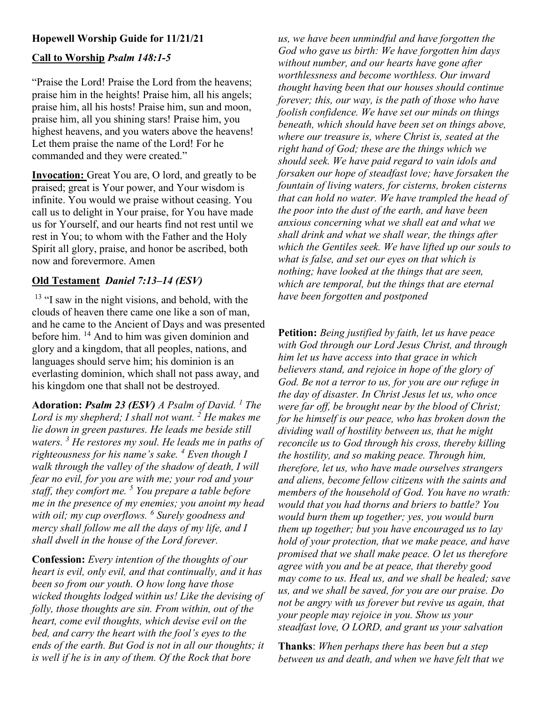# Hopewell Worship Guide for 11/21/21

### Call to Worship Psalm 148:1-5

"Praise the Lord! Praise the Lord from the heavens; praise him in the heights! Praise him, all his angels; praise him, all his hosts! Praise him, sun and moon, praise him, all you shining stars! Praise him, you highest heavens, and you waters above the heavens! Let them praise the name of the Lord! For he commanded and they were created."

Invocation: Great You are, O lord, and greatly to be praised; great is Your power, and Your wisdom is infinite. You would we praise without ceasing. You call us to delight in Your praise, for You have made us for Yourself, and our hearts find not rest until we rest in You; to whom with the Father and the Holy Spirit all glory, praise, and honor be ascribed, both now and forevermore. Amen

#### Old Testament Daniel 7:13–14 (ESV)

<sup>13</sup> "I saw in the night visions, and behold, with the clouds of heaven there came one like a son of man, and he came to the Ancient of Days and was presented before him. <sup>14</sup> And to him was given dominion and glory and a kingdom, that all peoples, nations, and languages should serve him; his dominion is an everlasting dominion, which shall not pass away, and his kingdom one that shall not be destroyed.

Adoration: Psalm 23 (ESV) A Psalm of David. <sup>1</sup> The Lord is my shepherd; I shall not want.  $2$  He makes me lie down in green pastures. He leads me beside still waters.  $\frac{3}{3}$  He restores my soul. He leads me in paths of righteousness for his name's sake.  $^4$  Even though I walk through the valley of the shadow of death, I will fear no evil, for you are with me; your rod and your staff, they comfort me.  $5$  You prepare a table before me in the presence of my enemies; you anoint my head with oil; my cup overflows. <sup>6</sup> Surely goodness and mercy shall follow me all the days of my life, and I shall dwell in the house of the Lord forever.

Confession: Every intention of the thoughts of our heart is evil, only evil, and that continually, and it has been so from our youth. O how long have those wicked thoughts lodged within us! Like the devising of folly, those thoughts are sin. From within, out of the heart, come evil thoughts, which devise evil on the bed, and carry the heart with the fool's eyes to the ends of the earth. But God is not in all our thoughts; it is well if he is in any of them. Of the Rock that bore

us, we have been unmindful and have forgotten the God who gave us birth: We have forgotten him days without number, and our hearts have gone after worthlessness and become worthless. Our inward thought having been that our houses should continue forever; this, our way, is the path of those who have foolish confidence. We have set our minds on things beneath, which should have been set on things above, where our treasure is, where Christ is, seated at the right hand of God; these are the things which we should seek. We have paid regard to vain idols and forsaken our hope of steadfast love; have forsaken the fountain of living waters, for cisterns, broken cisterns that can hold no water. We have trampled the head of the poor into the dust of the earth, and have been anxious concerning what we shall eat and what we shall drink and what we shall wear, the things after which the Gentiles seek. We have lifted up our souls to what is false, and set our eyes on that which is nothing; have looked at the things that are seen, which are temporal, but the things that are eternal have been forgotten and postponed

Petition: Being justified by faith, let us have peace with God through our Lord Jesus Christ, and through him let us have access into that grace in which believers stand, and rejoice in hope of the glory of God. Be not a terror to us, for you are our refuge in the day of disaster. In Christ Jesus let us, who once were far off, be brought near by the blood of Christ; for he himself is our peace, who has broken down the dividing wall of hostility between us, that he might reconcile us to God through his cross, thereby killing the hostility, and so making peace. Through him, therefore, let us, who have made ourselves strangers and aliens, become fellow citizens with the saints and members of the household of God. You have no wrath: would that you had thorns and briers to battle? You would burn them up together; yes, you would burn them up together; but you have encouraged us to lay hold of your protection, that we make peace, and have promised that we shall make peace. O let us therefore agree with you and be at peace, that thereby good may come to us. Heal us, and we shall be healed; save us, and we shall be saved, for you are our praise. Do not be angry with us forever but revive us again, that your people may rejoice in you. Show us your steadfast love, O LORD, and grant us your salvation

Thanks: When perhaps there has been but a step between us and death, and when we have felt that we